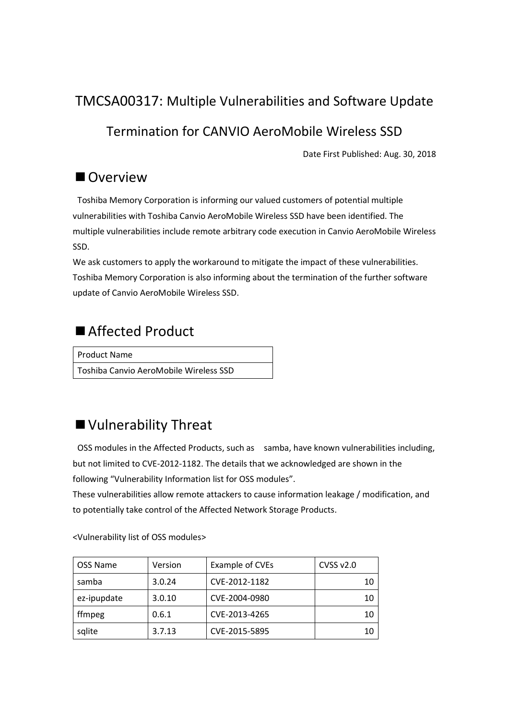### TMCSA00317: Multiple Vulnerabilities and Software Update

### Termination for CANVIO AeroMobile Wireless SSD

Date First Published: Aug. 30, 2018

### ■ Overview

Toshiba Memory Corporation is informing our valued customers of potential multiple vulnerabilities with Toshiba Canvio AeroMobile Wireless SSD have been identified. The multiple vulnerabilities include remote arbitrary code execution in Canvio AeroMobile Wireless SSD.

We ask customers to apply the workaround to mitigate the impact of these vulnerabilities. Toshiba Memory Corporation is also informing about the termination of the further software update of Canvio AeroMobile Wireless SSD.

# ■ Affected Product

Product Name Toshiba Canvio AeroMobile Wireless SSD

# ■ Vulnerability Threat

OSS modules in the Affected Products, such as samba, have known vulnerabilities including, but not limited to CVE-2012-1182. The details that we acknowledged are shown in the following "Vulnerability Information list for OSS modules".

These vulnerabilities allow remote attackers to cause information leakage / modification, and to potentially take control of the Affected Network Storage Products.

| <b>OSS Name</b> | Version | Example of CVEs | CVSS v2.0 |
|-----------------|---------|-----------------|-----------|
| samba           | 3.0.24  | CVE-2012-1182   | 10        |
| ez-ipupdate     | 3.0.10  | CVE-2004-0980   | 10        |
| ffmpeg          | 0.6.1   | CVE-2013-4265   | 10        |
| sqlite          | 3.7.13  | CVE-2015-5895   | 10        |

[<Vulnerability list](https://toshiba.semicon-storage.com/content/dam/toshiba-ss/shared/docs/company/news/new-products/Vulnerability_Information_for_each_OSS_module_list.pdf) of OSS modules>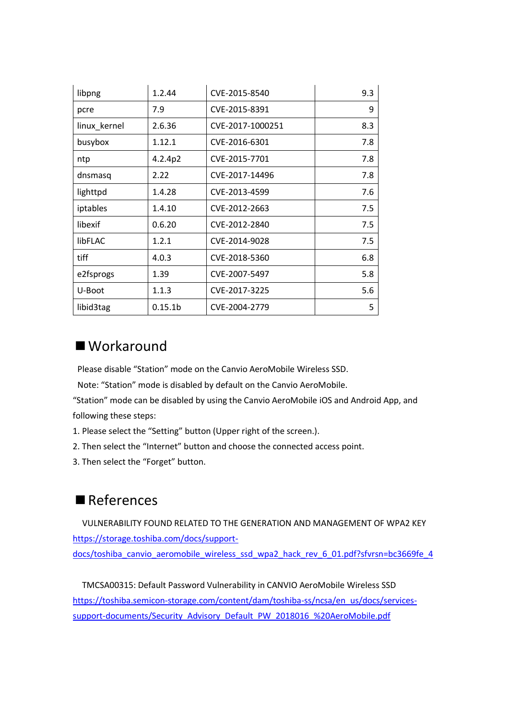| libpng       | 1.2.44              | CVE-2015-8540    | 9.3 |
|--------------|---------------------|------------------|-----|
| pcre         | 7.9                 | CVE-2015-8391    | 9   |
| linux kernel | 2.6.36              | CVE-2017-1000251 | 8.3 |
| busybox      | 1.12.1              | CVE-2016-6301    | 7.8 |
| ntp          | 4.2.4p2             | CVE-2015-7701    | 7.8 |
| dnsmasq      | 2.22                | CVE-2017-14496   | 7.8 |
| lighttpd     | 1.4.28              | CVE-2013-4599    | 7.6 |
| iptables     | 1.4.10              | CVE-2012-2663    | 7.5 |
| libexif      | 0.6.20              | CVE-2012-2840    | 7.5 |
| libFLAC      | 1.2.1               | CVE-2014-9028    | 7.5 |
| tiff         | 4.0.3               | CVE-2018-5360    | 6.8 |
| e2fsprogs    | 1.39                | CVE-2007-5497    | 5.8 |
| U-Boot       | 1.1.3               | CVE-2017-3225    | 5.6 |
| libid3tag    | 0.15.1 <sub>b</sub> | CVE-2004-2779    | 5   |

#### ■ Workaround

Please disable "Station" mode on the Canvio AeroMobile Wireless SSD.

Note: "Station" mode is disabled by default on the Canvio AeroMobile.

"Station" mode can be disabled by using the Canvio AeroMobile iOS and Android App, and following these steps:

- 1. Please select the "Setting" button (Upper right of the screen.).
- 2. Then select the "Internet" button and choose the connected access point.
- 3. Then select the "Forget" button.

#### ■References

 VULNERABILITY FOUND RELATED TO THE GENERATION AND MANAGEMENT OF WPA2 KEY [https://storage.toshiba.com/docs/support](https://storage.toshiba.com/docs/support-docs/toshiba_canvio_aeromobile_wireless_ssd_wpa2_hack_rev_6_01.pdf?sfvrsn=bc3669fe_4)[docs/toshiba\\_canvio\\_aeromobile\\_wireless\\_ssd\\_wpa2\\_hack\\_rev\\_6\\_01.pdf?sfvrsn=bc3669fe\\_4](https://storage.toshiba.com/docs/support-docs/toshiba_canvio_aeromobile_wireless_ssd_wpa2_hack_rev_6_01.pdf?sfvrsn=bc3669fe_4)

 TMCSA00315: Default Password Vulnerability in CANVIO AeroMobile Wireless SSD [https://toshiba.semicon-storage.com/content/dam/toshiba-ss/ncsa/en\\_us/docs/services](https://toshiba.semicon-storage.com/content/dam/toshiba-ss/ncsa/en_us/docs/services-support-documents/Security_Advisory_Default_PW_2018016_%20AeroMobile.pdf)[support-documents/Security\\_Advisory\\_Default\\_PW\\_2018016\\_%20AeroMobile.pdf](https://toshiba.semicon-storage.com/content/dam/toshiba-ss/ncsa/en_us/docs/services-support-documents/Security_Advisory_Default_PW_2018016_%20AeroMobile.pdf)